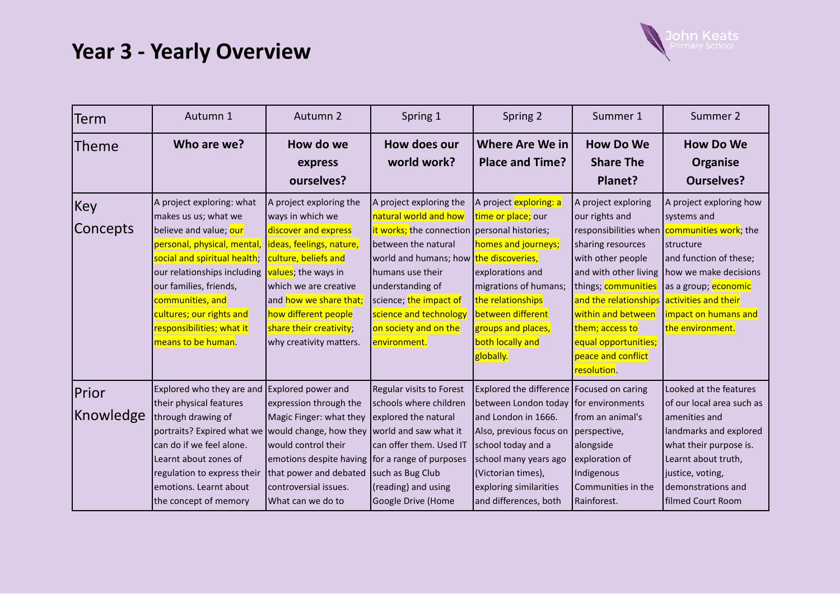

| Term                       | Autumn 1                                                                                                                                                                                                                                                                                               | Autumn 2                                                                                                                                                                                                                                                                         | Spring 1                                                                                                                                                                                                                                                                                               | Spring 2                                                                                                                                                                                                                                                          | Summer 1                                                                                                                                                                                                                                                                                | Summer 2                                                                                                                                                                                                                                    |
|----------------------------|--------------------------------------------------------------------------------------------------------------------------------------------------------------------------------------------------------------------------------------------------------------------------------------------------------|----------------------------------------------------------------------------------------------------------------------------------------------------------------------------------------------------------------------------------------------------------------------------------|--------------------------------------------------------------------------------------------------------------------------------------------------------------------------------------------------------------------------------------------------------------------------------------------------------|-------------------------------------------------------------------------------------------------------------------------------------------------------------------------------------------------------------------------------------------------------------------|-----------------------------------------------------------------------------------------------------------------------------------------------------------------------------------------------------------------------------------------------------------------------------------------|---------------------------------------------------------------------------------------------------------------------------------------------------------------------------------------------------------------------------------------------|
| Theme                      | Who are we?                                                                                                                                                                                                                                                                                            | How do we<br>express<br>ourselves?                                                                                                                                                                                                                                               | How does our<br>world work?                                                                                                                                                                                                                                                                            | <b>Where Are We in</b><br><b>Place and Time?</b>                                                                                                                                                                                                                  | <b>How Do We</b><br><b>Share The</b><br>Planet?                                                                                                                                                                                                                                         | <b>How Do We</b><br><b>Organise</b><br><b>Ourselves?</b>                                                                                                                                                                                    |
| Key<br><b>Concepts</b>     | A project exploring: what<br>makes us us; what we<br>believe and value; our<br>personal, physical, mental,<br>social and spiritual health;<br>our relationships including<br>our families, friends,<br>communities, and<br>cultures; our rights and<br>responsibilities; what it<br>means to be human. | A project exploring the<br>ways in which we<br>discover and express<br>lideas, feelings, nature,<br>culture, beliefs and<br>values; the ways in<br>which we are creative<br>and how we share that;<br>how different people<br>share their creativity;<br>why creativity matters. | A project exploring the<br>natural world and how<br>it works; the connection personal histories;<br>between the natural<br>world and humans; how the discoveries,<br>humans use their<br>understanding of<br>science; the impact of<br>science and technology<br>on society and on the<br>environment. | A project exploring: a<br>time or place; our<br>homes and journeys;<br>explorations and<br>migrations of humans;<br>the relationships<br>between different<br>groups and places,<br>both locally and<br>globally.                                                 | A project exploring<br>our rights and<br>responsibilities when<br>sharing resources<br>with other people<br>and with other living<br>things; communities<br>and the relationships<br>within and between<br>them; access to<br>equal opportunities;<br>peace and conflict<br>resolution. | A project exploring how<br>systems and<br>communities work; the<br><b>I</b> structure<br>and function of these;<br>how we make decisions<br>as a group; <b>economic</b><br>activities and their<br>impact on humans and<br>the environment. |
| <b>Prior</b><br> Knowledge | Explored who they are and<br>their physical features<br>through drawing of<br>portraits? Expired what we would change, how they world and saw what it<br>can do if we feel alone.<br>Learnt about zones of<br>regulation to express their<br>emotions. Learnt about<br>the concept of memory           | Explored power and<br>expression through the<br>Magic Finger: what they<br>would control their<br>emotions despite having for a range of purposes<br>that power and debated<br>controversial issues.<br>What can we do to                                                        | Regular visits to Forest<br>schools where children<br>explored the natural<br>can offer them. Used IT<br>such as Bug Club<br>(reading) and using<br>Google Drive (Home                                                                                                                                 | Explored the difference   Focused on caring<br>between London today   for environments<br>land London in 1666.<br>Also, previous focus on<br>school today and a<br>school many years ago<br>(Victorian times),<br>exploring similarities<br>and differences, both | from an animal's<br>perspective,<br>alongside<br>exploration of<br>Indigenous<br>Communities in the<br>Rainforest.                                                                                                                                                                      | Looked at the features<br>of our local area such as<br>lamenities and<br>landmarks and explored<br>what their purpose is.<br>Learnt about truth,<br>justice, voting,<br>demonstrations and<br>filmed Court Room                             |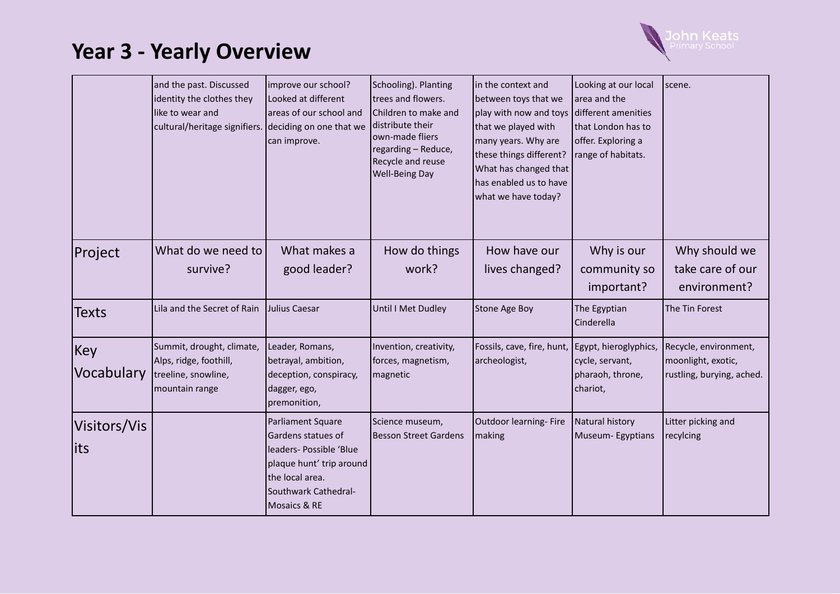

|                      | and the past. Discussed<br>identity the clothes they<br>like to wear and<br>cultural/heritage signifiers. deciding on one that we | improve our school?<br>Looked at different<br>areas of our school and<br>can improve.                                                                     | Schooling). Planting<br>trees and flowers.<br><b>I</b> Children to make and<br>distribute their<br>own-made fliers<br>regarding - Reduce,<br>Recycle and reuse<br><b>Well-Being Day</b> | in the context and<br>between toys that we<br>play with now and toys<br>that we played with<br>many years. Why are<br>these things different?<br>What has changed that<br>has enabled us to have<br>what we have today? | Looking at our local<br>area and the<br>different amenities<br>that London has to<br>offer. Exploring a<br>range of habitats. | scene.                                                                   |
|----------------------|-----------------------------------------------------------------------------------------------------------------------------------|-----------------------------------------------------------------------------------------------------------------------------------------------------------|-----------------------------------------------------------------------------------------------------------------------------------------------------------------------------------------|-------------------------------------------------------------------------------------------------------------------------------------------------------------------------------------------------------------------------|-------------------------------------------------------------------------------------------------------------------------------|--------------------------------------------------------------------------|
| Project              | What do we need to<br>survive?                                                                                                    | What makes a<br>good leader?                                                                                                                              | How do things<br>work?                                                                                                                                                                  | How have our<br>lives changed?                                                                                                                                                                                          | Why is our<br>community so<br>important?                                                                                      | Why should we<br>take care of our<br>environment?                        |
| <b>Texts</b>         | Lila and the Secret of Rain                                                                                                       | Julius Caesar                                                                                                                                             | Until I Met Dudley                                                                                                                                                                      | Stone Age Boy                                                                                                                                                                                                           | The Egyptian<br>Cinderella                                                                                                    | The Tin Forest                                                           |
| Key<br>Vocabulary    | Summit, drought, climate,<br>Alps, ridge, foothill,<br>treeline, snowline,<br>mountain range                                      | Leader, Romans,<br>betrayal, ambition,<br>deception, conspiracy,<br>dagger, ego,<br>premonition,                                                          | Invention, creativity,<br>forces, magnetism,<br>magnetic                                                                                                                                | Fossils, cave, fire, hunt,<br>archeologist,                                                                                                                                                                             | Egypt, hieroglyphics,<br>cycle, servant,<br>pharaoh, throne,<br>chariot,                                                      | Recycle, environment,<br>moonlight, exotic,<br>rustling, burying, ached. |
| Visitors/Vis<br>lits |                                                                                                                                   | Parliament Square<br>Gardens statues of<br>leaders- Possible 'Blue<br>plaque hunt' trip around<br>the local area.<br>Southwark Cathedral-<br>Mosaics & RE | Science museum,<br>Besson Street Gardens                                                                                                                                                | Outdoor learning- Fire<br>making                                                                                                                                                                                        | Natural history<br>Museum-Egyptians                                                                                           | Litter picking and<br>recylcing                                          |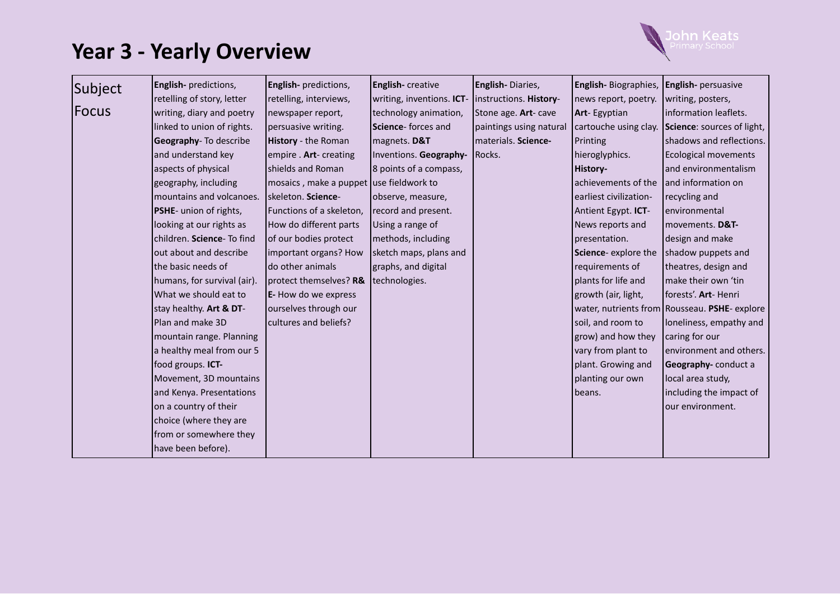

| Subject      | <b>English-</b> predictions,  | English- predictions,                   | English- creative         | English-Diaries,        | <b>English-</b> Biographies, <b>English-</b> persuasive |                                                 |
|--------------|-------------------------------|-----------------------------------------|---------------------------|-------------------------|---------------------------------------------------------|-------------------------------------------------|
|              | retelling of story, letter    | retelling, interviews,                  | writing, inventions. ICT- | instructions. History-  | news report, poetry.                                    | writing, posters,                               |
| <b>Focus</b> | writing, diary and poetry     | newspaper report,                       | technology animation,     | Stone age. Art- cave    | Art-Egyptian                                            | information leaflets.                           |
|              | linked to union of rights.    | persuasive writing.                     | Science-forces and        | paintings using natural | cartouche using clay.                                   | Science: sources of light,                      |
|              | Geography- To describe        | History - the Roman                     | magnets. D&T              | materials. Science-     | Printing                                                | shadows and reflections.                        |
|              | and understand key            | empire . Art- creating                  | Inventions. Geography-    | Rocks.                  | hieroglyphics.                                          | <b>Ecological movements</b>                     |
|              | aspects of physical           | shields and Roman                       | 8 points of a compass,    |                         | History-                                                | and environmentalism                            |
|              | geography, including          | mosaics, make a puppet use fieldwork to |                           |                         | achievements of the                                     | and information on                              |
|              | mountains and volcanoes.      | skeleton. Science-                      | observe, measure,         |                         | earliest civilization-                                  | recycling and                                   |
|              | <b>PSHE-</b> union of rights, | Functions of a skeleton,                | record and present.       |                         | Antient Egypt. ICT-                                     | environmental                                   |
|              | looking at our rights as      | How do different parts                  | Using a range of          |                         | News reports and                                        | movements. D&T-                                 |
|              | children. Science- To find    | of our bodies protect                   | methods, including        |                         | presentation.                                           | design and make                                 |
|              | out about and describe        | important organs? How                   | sketch maps, plans and    |                         | Science-explore the                                     | shadow puppets and                              |
|              | the basic needs of            | do other animals                        | graphs, and digital       |                         | requirements of                                         | theatres, design and                            |
|              | humans, for survival (air).   | protect themselves? R&                  | technologies.             |                         | plants for life and                                     | make their own 'tin                             |
|              | What we should eat to         | E- How do we express                    |                           |                         | growth (air, light,                                     | forests'. Art-Henri                             |
|              | stay healthy. Art & DT-       | ourselves through our                   |                           |                         |                                                         | water, nutrients from   Rousseau. PSHE- explore |
|              | Plan and make 3D              | cultures and beliefs?                   |                           |                         | soil, and room to                                       | loneliness, empathy and                         |
|              | mountain range. Planning      |                                         |                           |                         | grow) and how they                                      | caring for our                                  |
|              | a healthy meal from our 5     |                                         |                           |                         | vary from plant to                                      | environment and others.                         |
|              | food groups. ICT-             |                                         |                           |                         | plant. Growing and                                      | Geography-conduct a                             |
|              | Movement, 3D mountains        |                                         |                           |                         | planting our own                                        | local area study,                               |
|              | and Kenya. Presentations      |                                         |                           |                         | beans.                                                  | including the impact of                         |
|              | on a country of their         |                                         |                           |                         |                                                         | our environment.                                |
|              | choice (where they are        |                                         |                           |                         |                                                         |                                                 |
|              | from or somewhere they        |                                         |                           |                         |                                                         |                                                 |
|              | have been before).            |                                         |                           |                         |                                                         |                                                 |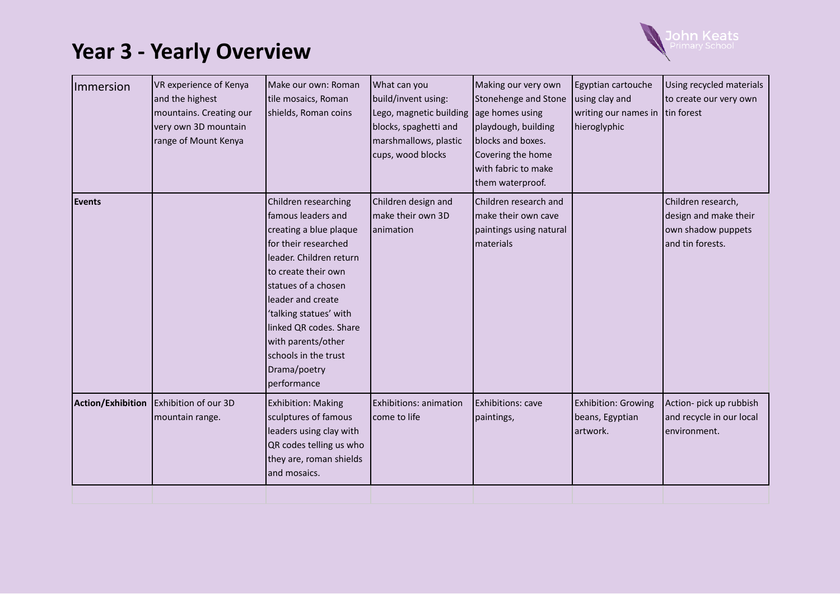

| Immersion         | VR experience of Kenya<br>and the highest<br>mountains. Creating our<br>very own 3D mountain<br>range of Mount Kenya | Make our own: Roman<br>tile mosaics, Roman<br>shields, Roman coins                                                                                                                                                                                                                                                          | What can you<br>build/invent using:<br>Lego, magnetic building<br>blocks, spaghetti and<br>marshmallows, plastic<br>cups, wood blocks | Making our very own<br>Stonehenge and Stone<br>age homes using<br>playdough, building<br>blocks and boxes.<br>Covering the home<br>with fabric to make<br>them waterproof. | Egyptian cartouche<br>using clay and<br>writing our names in<br>hieroglyphic | Using recycled materials<br>to create our very own<br>tin forest                      |
|-------------------|----------------------------------------------------------------------------------------------------------------------|-----------------------------------------------------------------------------------------------------------------------------------------------------------------------------------------------------------------------------------------------------------------------------------------------------------------------------|---------------------------------------------------------------------------------------------------------------------------------------|----------------------------------------------------------------------------------------------------------------------------------------------------------------------------|------------------------------------------------------------------------------|---------------------------------------------------------------------------------------|
| Events            |                                                                                                                      | Children researching<br>famous leaders and<br>creating a blue plaque<br>for their researched<br>leader. Children return<br>to create their own<br>statues of a chosen<br>leader and create<br>'talking statues' with<br>linked QR codes. Share<br>with parents/other<br>schools in the trust<br>Drama/poetry<br>performance | Children design and<br>make their own 3D<br>animation                                                                                 | Children research and<br>make their own cave<br>paintings using natural<br>materials                                                                                       |                                                                              | Children research,<br>design and make their<br>own shadow puppets<br>and tin forests. |
| Action/Exhibition | Exhibition of our 3D<br>mountain range.                                                                              | <b>Exhibition: Making</b><br>sculptures of famous<br>leaders using clay with<br>QR codes telling us who<br>they are, roman shields<br>and mosaics.                                                                                                                                                                          | <b>Exhibitions: animation</b><br>come to life                                                                                         | Exhibitions: cave<br>paintings,                                                                                                                                            | <b>Exhibition: Growing</b><br>beans, Egyptian<br>artwork.                    | Action- pick up rubbish<br>and recycle in our local<br>environment.                   |